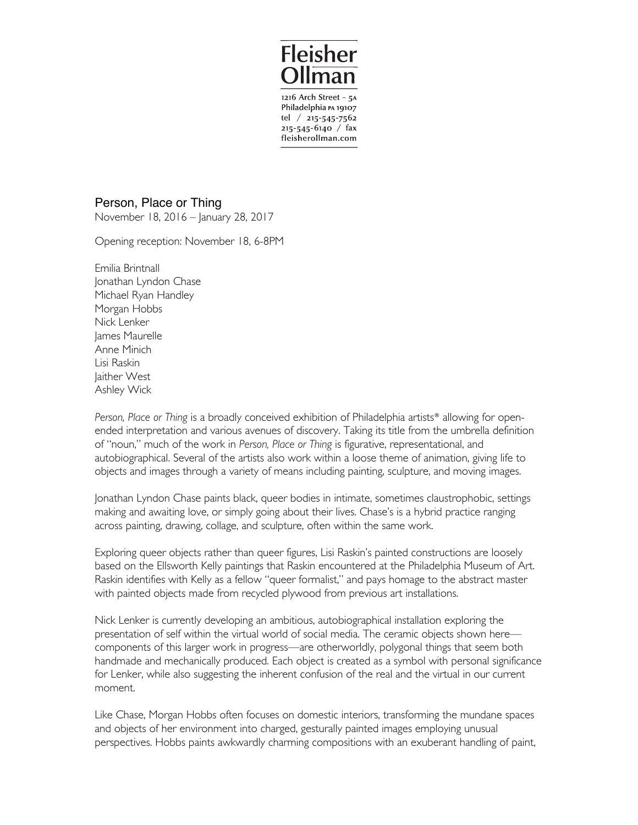

1216 Arch Street - 5A Philadelphia PA 19107 tel  $/$  215-545-7562  $215 - 545 - 6140$  / fax fleisherollman.com

Person, Place or Thing

November 18, 2016 – January 28, 2017

Opening reception: November 18, 6-8PM

Emilia Brintnall Jonathan Lyndon Chase Michael Ryan Handley Morgan Hobbs Nick Lenker James Maurelle Anne Minich Lisi Raskin Jaither West Ashley Wick

*Person, Place or Thing* is a broadly conceived exhibition of Philadelphia artists\* allowing for openended interpretation and various avenues of discovery. Taking its title from the umbrella definition of "noun," much of the work in *Person, Place or Thing* is figurative, representational, and autobiographical. Several of the artists also work within a loose theme of animation, giving life to objects and images through a variety of means including painting, sculpture, and moving images.

Jonathan Lyndon Chase paints black, queer bodies in intimate, sometimes claustrophobic, settings making and awaiting love, or simply going about their lives. Chase's is a hybrid practice ranging across painting, drawing, collage, and sculpture, often within the same work.

Exploring queer objects rather than queer figures, Lisi Raskin's painted constructions are loosely based on the Ellsworth Kelly paintings that Raskin encountered at the Philadelphia Museum of Art. Raskin identifies with Kelly as a fellow "queer formalist," and pays homage to the abstract master with painted objects made from recycled plywood from previous art installations.

Nick Lenker is currently developing an ambitious, autobiographical installation exploring the presentation of self within the virtual world of social media. The ceramic objects shown here components of this larger work in progress—are otherworldly, polygonal things that seem both handmade and mechanically produced. Each object is created as a symbol with personal significance for Lenker, while also suggesting the inherent confusion of the real and the virtual in our current moment.

Like Chase, Morgan Hobbs often focuses on domestic interiors, transforming the mundane spaces and objects of her environment into charged, gesturally painted images employing unusual perspectives. Hobbs paints awkwardly charming compositions with an exuberant handling of paint,